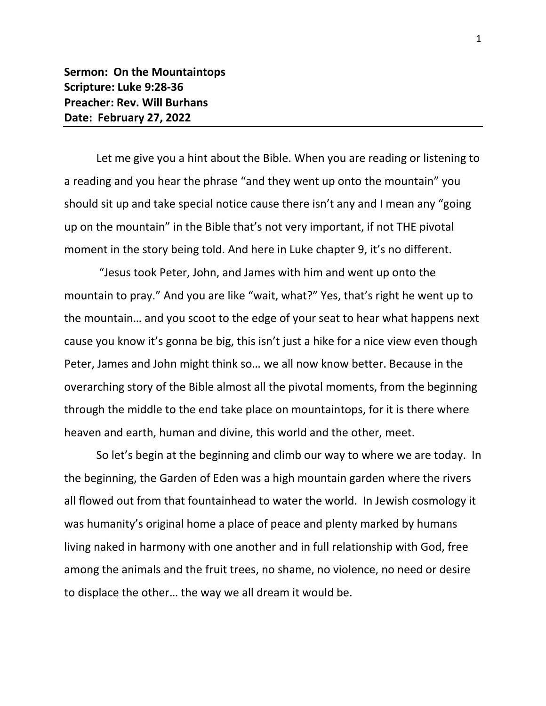Let me give you a hint about the Bible. When you are reading or listening to a reading and you hear the phrase "and they went up onto the mountain" you should sit up and take special notice cause there isn't any and I mean any "going up on the mountain" in the Bible that's not very important, if not THE pivotal moment in the story being told. And here in Luke chapter 9, it's no different.

"Jesus took Peter, John, and James with him and went up onto the mountain to pray." And you are like "wait, what?" Yes, that's right he went up to the mountain… and you scoot to the edge of your seat to hear what happens next cause you know it's gonna be big, this isn't just a hike for a nice view even though Peter, James and John might think so… we all now know better. Because in the overarching story of the Bible almost all the pivotal moments, from the beginning through the middle to the end take place on mountaintops, for it is there where heaven and earth, human and divine, this world and the other, meet.

So let's begin at the beginning and climb our way to where we are today. In the beginning, the Garden of Eden was a high mountain garden where the rivers all flowed out from that fountainhead to water the world. In Jewish cosmology it was humanity's original home a place of peace and plenty marked by humans living naked in harmony with one another and in full relationship with God, free among the animals and the fruit trees, no shame, no violence, no need or desire to displace the other… the way we all dream it would be.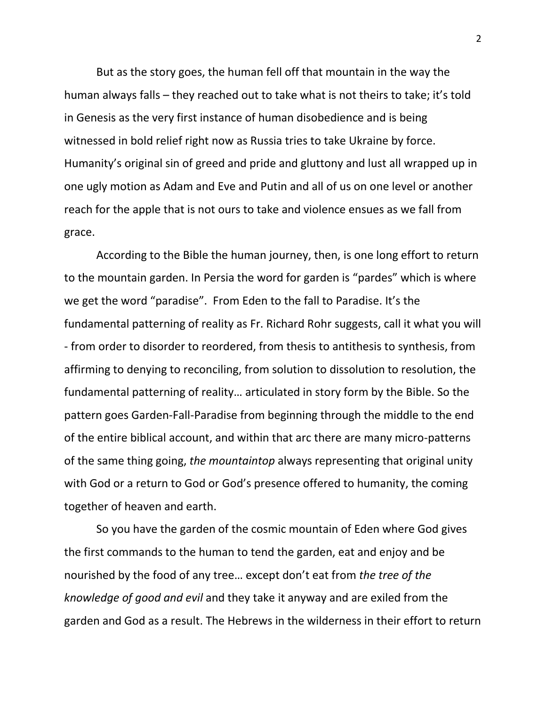But as the story goes, the human fell off that mountain in the way the human always falls – they reached out to take what is not theirs to take; it's told in Genesis as the very first instance of human disobedience and is being witnessed in bold relief right now as Russia tries to take Ukraine by force. Humanity's original sin of greed and pride and gluttony and lust all wrapped up in one ugly motion as Adam and Eve and Putin and all of us on one level or another reach for the apple that is not ours to take and violence ensues as we fall from grace.

According to the Bible the human journey, then, is one long effort to return to the mountain garden. In Persia the word for garden is "pardes" which is where we get the word "paradise". From Eden to the fall to Paradise. It's the fundamental patterning of reality as Fr. Richard Rohr suggests, call it what you will - from order to disorder to reordered, from thesis to antithesis to synthesis, from affirming to denying to reconciling, from solution to dissolution to resolution, the fundamental patterning of reality… articulated in story form by the Bible. So the pattern goes Garden-Fall-Paradise from beginning through the middle to the end of the entire biblical account, and within that arc there are many micro-patterns of the same thing going, *the mountaintop* always representing that original unity with God or a return to God or God's presence offered to humanity, the coming together of heaven and earth.

So you have the garden of the cosmic mountain of Eden where God gives the first commands to the human to tend the garden, eat and enjoy and be nourished by the food of any tree… except don't eat from *the tree of the knowledge of good and evil* and they take it anyway and are exiled from the garden and God as a result. The Hebrews in the wilderness in their effort to return

2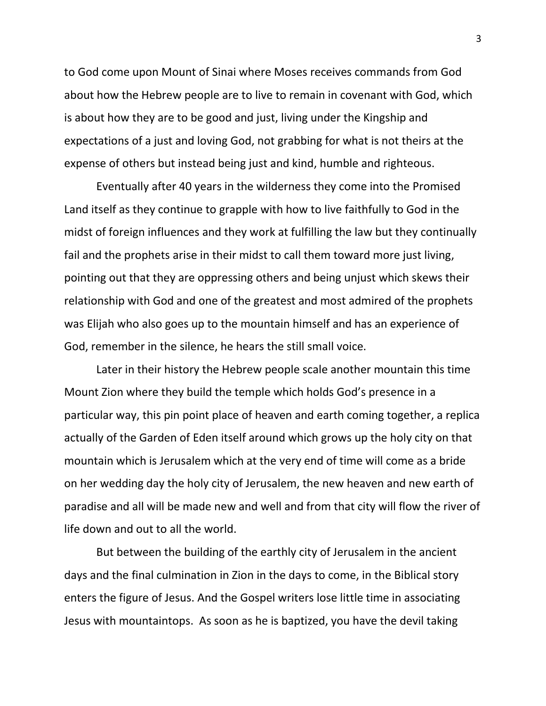to God come upon Mount of Sinai where Moses receives commands from God about how the Hebrew people are to live to remain in covenant with God, which is about how they are to be good and just, living under the Kingship and expectations of a just and loving God, not grabbing for what is not theirs at the expense of others but instead being just and kind, humble and righteous.

Eventually after 40 years in the wilderness they come into the Promised Land itself as they continue to grapple with how to live faithfully to God in the midst of foreign influences and they work at fulfilling the law but they continually fail and the prophets arise in their midst to call them toward more just living, pointing out that they are oppressing others and being unjust which skews their relationship with God and one of the greatest and most admired of the prophets was Elijah who also goes up to the mountain himself and has an experience of God, remember in the silence, he hears the still small voice.

Later in their history the Hebrew people scale another mountain this time Mount Zion where they build the temple which holds God's presence in a particular way, this pin point place of heaven and earth coming together, a replica actually of the Garden of Eden itself around which grows up the holy city on that mountain which is Jerusalem which at the very end of time will come as a bride on her wedding day the holy city of Jerusalem, the new heaven and new earth of paradise and all will be made new and well and from that city will flow the river of life down and out to all the world.

But between the building of the earthly city of Jerusalem in the ancient days and the final culmination in Zion in the days to come, in the Biblical story enters the figure of Jesus. And the Gospel writers lose little time in associating Jesus with mountaintops. As soon as he is baptized, you have the devil taking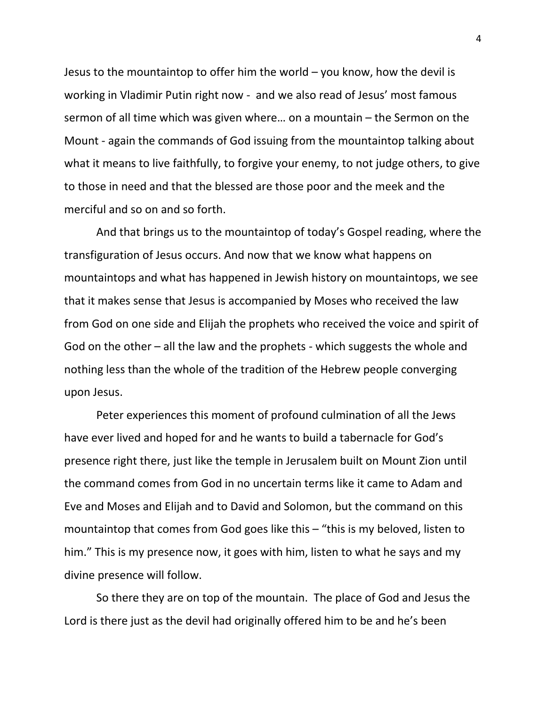Jesus to the mountaintop to offer him the world – you know, how the devil is working in Vladimir Putin right now - and we also read of Jesus' most famous sermon of all time which was given where… on a mountain – the Sermon on the Mount - again the commands of God issuing from the mountaintop talking about what it means to live faithfully, to forgive your enemy, to not judge others, to give to those in need and that the blessed are those poor and the meek and the merciful and so on and so forth.

And that brings us to the mountaintop of today's Gospel reading, where the transfiguration of Jesus occurs. And now that we know what happens on mountaintops and what has happened in Jewish history on mountaintops, we see that it makes sense that Jesus is accompanied by Moses who received the law from God on one side and Elijah the prophets who received the voice and spirit of God on the other – all the law and the prophets - which suggests the whole and nothing less than the whole of the tradition of the Hebrew people converging upon Jesus.

Peter experiences this moment of profound culmination of all the Jews have ever lived and hoped for and he wants to build a tabernacle for God's presence right there, just like the temple in Jerusalem built on Mount Zion until the command comes from God in no uncertain terms like it came to Adam and Eve and Moses and Elijah and to David and Solomon, but the command on this mountaintop that comes from God goes like this – "this is my beloved, listen to him." This is my presence now, it goes with him, listen to what he says and my divine presence will follow.

So there they are on top of the mountain. The place of God and Jesus the Lord is there just as the devil had originally offered him to be and he's been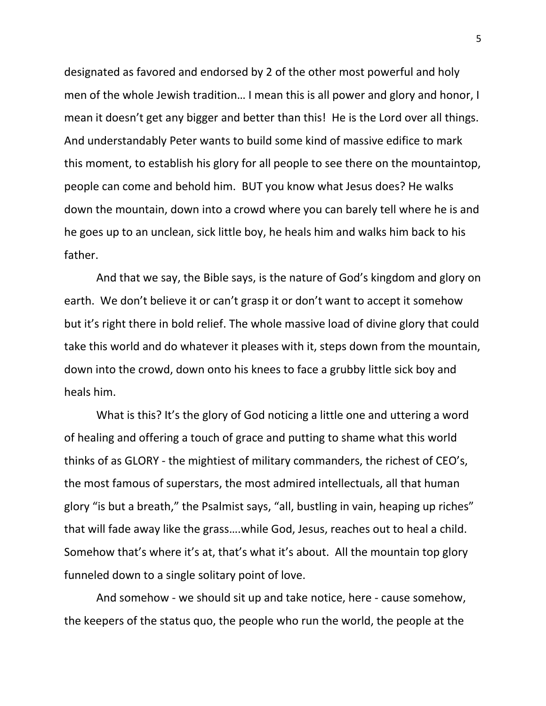designated as favored and endorsed by 2 of the other most powerful and holy men of the whole Jewish tradition… I mean this is all power and glory and honor, I mean it doesn't get any bigger and better than this! He is the Lord over all things. And understandably Peter wants to build some kind of massive edifice to mark this moment, to establish his glory for all people to see there on the mountaintop, people can come and behold him. BUT you know what Jesus does? He walks down the mountain, down into a crowd where you can barely tell where he is and he goes up to an unclean, sick little boy, he heals him and walks him back to his father.

And that we say, the Bible says, is the nature of God's kingdom and glory on earth. We don't believe it or can't grasp it or don't want to accept it somehow but it's right there in bold relief. The whole massive load of divine glory that could take this world and do whatever it pleases with it, steps down from the mountain, down into the crowd, down onto his knees to face a grubby little sick boy and heals him.

What is this? It's the glory of God noticing a little one and uttering a word of healing and offering a touch of grace and putting to shame what this world thinks of as GLORY - the mightiest of military commanders, the richest of CEO's, the most famous of superstars, the most admired intellectuals, all that human glory "is but a breath," the Psalmist says, "all, bustling in vain, heaping up riches" that will fade away like the grass….while God, Jesus, reaches out to heal a child. Somehow that's where it's at, that's what it's about. All the mountain top glory funneled down to a single solitary point of love.

And somehow - we should sit up and take notice, here - cause somehow, the keepers of the status quo, the people who run the world, the people at the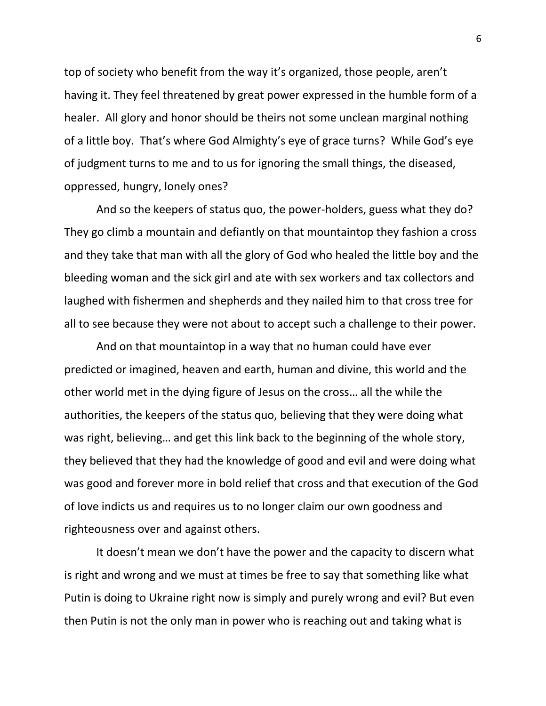top of society who benefit from the way it's organized, those people, aren't having it. They feel threatened by great power expressed in the humble form of a healer. All glory and honor should be theirs not some unclean marginal nothing of a little boy. That's where God Almighty's eye of grace turns? While God's eye of judgment turns to me and to us for ignoring the small things, the diseased, oppressed, hungry, lonely ones?

And so the keepers of status quo, the power-holders, guess what they do? They go climb a mountain and defiantly on that mountaintop they fashion a cross and they take that man with all the glory of God who healed the little boy and the bleeding woman and the sick girl and ate with sex workers and tax collectors and laughed with fishermen and shepherds and they nailed him to that cross tree for all to see because they were not about to accept such a challenge to their power.

And on that mountaintop in a way that no human could have ever predicted or imagined, heaven and earth, human and divine, this world and the other world met in the dying figure of Jesus on the cross… all the while the authorities, the keepers of the status quo, believing that they were doing what was right, believing… and get this link back to the beginning of the whole story, they believed that they had the knowledge of good and evil and were doing what was good and forever more in bold relief that cross and that execution of the God of love indicts us and requires us to no longer claim our own goodness and righteousness over and against others.

It doesn't mean we don't have the power and the capacity to discern what is right and wrong and we must at times be free to say that something like what Putin is doing to Ukraine right now is simply and purely wrong and evil? But even then Putin is not the only man in power who is reaching out and taking what is